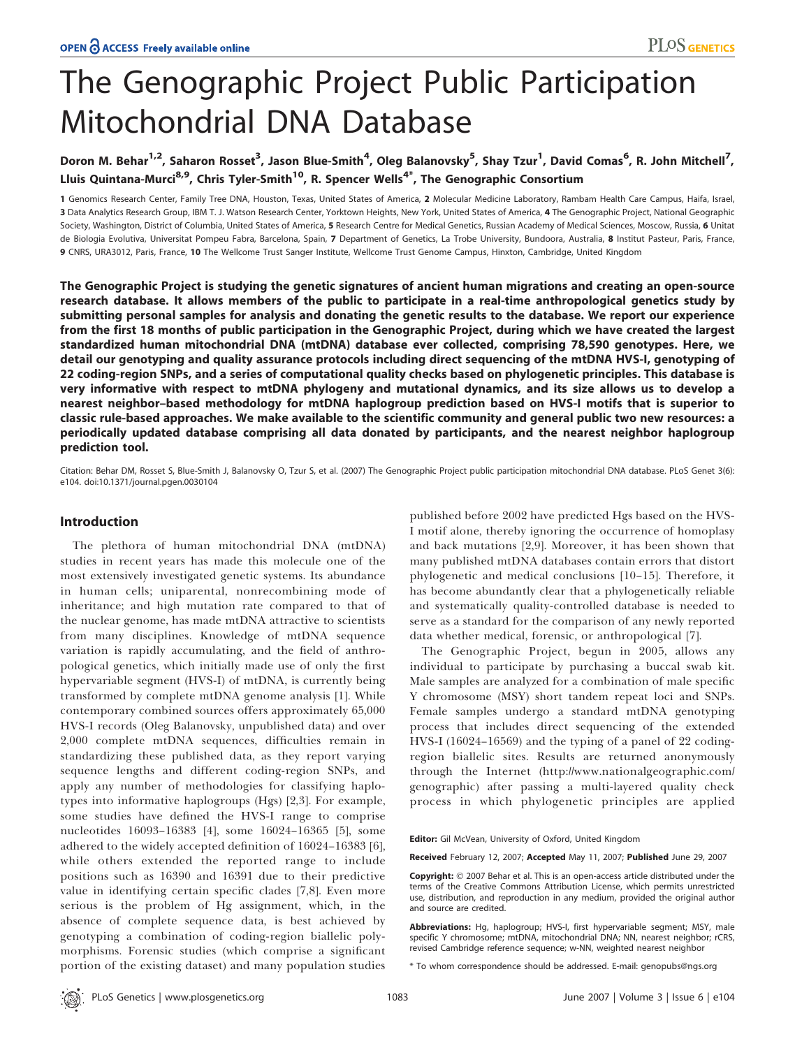# The Genographic Project Public Participation Mitochondrial DNA Database

Doron M. Behar<sup>1,2</sup>, Saharon Rosset<sup>3</sup>, Jason Blue-Smith<sup>4</sup>, Oleg Balanovsky<sup>5</sup>, Shay Tzur<sup>1</sup>, David Comas<sup>6</sup>, R. John Mitchell<sup>7</sup>, Lluis Quintana-Murci<sup>8,9</sup>, Chris Tyler-Smith<sup>10</sup>, R. Spencer Wells<sup>4\*</sup>, The Genographic Consortium

1 Genomics Research Center, Family Tree DNA, Houston, Texas, United States of America, 2 Molecular Medicine Laboratory, Rambam Health Care Campus, Haifa, Israel, 3 Data Analytics Research Group, IBM T. J. Watson Research Center, Yorktown Heights, New York, United States of America, 4 The Genographic Project, National Geographic Society, Washington, District of Columbia, United States of America, 5 Research Centre for Medical Genetics, Russian Academy of Medical Sciences, Moscow, Russia, 6 Unitat de Biologia Evolutiva, Universitat Pompeu Fabra, Barcelona, Spain, 7 Department of Genetics, La Trobe University, Bundoora, Australia, 8 Institut Pasteur, Paris, France, 9 CNRS, URA3012, Paris, France, 10 The Wellcome Trust Sanger Institute, Wellcome Trust Genome Campus, Hinxton, Cambridge, United Kingdom

The Genographic Project is studying the genetic signatures of ancient human migrations and creating an open-source research database. It allows members of the public to participate in a real-time anthropological genetics study by submitting personal samples for analysis and donating the genetic results to the database. We report our experience from the first 18 months of public participation in the Genographic Project, during which we have created the largest standardized human mitochondrial DNA (mtDNA) database ever collected, comprising 78,590 genotypes. Here, we detail our genotyping and quality assurance protocols including direct sequencing of the mtDNA HVS-I, genotyping of 22 coding-region SNPs, and a series of computational quality checks based on phylogenetic principles. This database is very informative with respect to mtDNA phylogeny and mutational dynamics, and its size allows us to develop a nearest neighbor–based methodology for mtDNA haplogroup prediction based on HVS-I motifs that is superior to classic rule-based approaches. We make available to the scientific community and general public two new resources: a periodically updated database comprising all data donated by participants, and the nearest neighbor haplogroup prediction tool.

Citation: Behar DM, Rosset S, Blue-Smith J, Balanovsky O, Tzur S, et al. (2007) The Genographic Project public participation mitochondrial DNA database. PLoS Genet 3(6): e104. doi:10.1371/journal.pgen.0030104

## Introduction

The plethora of human mitochondrial DNA (mtDNA) studies in recent years has made this molecule one of the most extensively investigated genetic systems. Its abundance in human cells; uniparental, nonrecombining mode of inheritance; and high mutation rate compared to that of the nuclear genome, has made mtDNA attractive to scientists from many disciplines. Knowledge of mtDNA sequence variation is rapidly accumulating, and the field of anthropological genetics, which initially made use of only the first hypervariable segment (HVS-I) of mtDNA, is currently being transformed by complete mtDNA genome analysis [1]. While contemporary combined sources offers approximately 65,000 HVS-I records (Oleg Balanovsky, unpublished data) and over 2,000 complete mtDNA sequences, difficulties remain in standardizing these published data, as they report varying sequence lengths and different coding-region SNPs, and apply any number of methodologies for classifying haplotypes into informative haplogroups (Hgs) [2,3]. For example, some studies have defined the HVS-I range to comprise nucleotides 16093–16383 [4], some 16024–16365 [5], some adhered to the widely accepted definition of 16024–16383 [6], while others extended the reported range to include positions such as 16390 and 16391 due to their predictive value in identifying certain specific clades [7,8]. Even more serious is the problem of Hg assignment, which, in the absence of complete sequence data, is best achieved by genotyping a combination of coding-region biallelic polymorphisms. Forensic studies (which comprise a significant portion of the existing dataset) and many population studies

published before 2002 have predicted Hgs based on the HVS-I motif alone, thereby ignoring the occurrence of homoplasy and back mutations [2,9]. Moreover, it has been shown that many published mtDNA databases contain errors that distort phylogenetic and medical conclusions [10–15]. Therefore, it has become abundantly clear that a phylogenetically reliable and systematically quality-controlled database is needed to serve as a standard for the comparison of any newly reported data whether medical, forensic, or anthropological [7].

The Genographic Project, begun in 2005, allows any individual to participate by purchasing a buccal swab kit. Male samples are analyzed for a combination of male specific Y chromosome (MSY) short tandem repeat loci and SNPs. Female samples undergo a standard mtDNA genotyping process that includes direct sequencing of the extended HVS-I (16024–16569) and the typing of a panel of 22 codingregion biallelic sites. Results are returned anonymously through the Internet (http://www.nationalgeographic.com/ genographic) after passing a multi-layered quality check process in which phylogenetic principles are applied

Editor: Gil McVean, University of Oxford, United Kingdom

Received February 12, 2007; Accepted May 11, 2007; Published June 29, 2007

\* To whom correspondence should be addressed. E-mail: genopubs@ngs.org

Copyright: © 2007 Behar et al. This is an open-access article distributed under the terms of the Creative Commons Attribution License, which permits unrestricted use, distribution, and reproduction in any medium, provided the original author and source are credited.

Abbreviations: Hg, haplogroup; HVS-I, first hypervariable segment; MSY, male specific Y chromosome; mtDNA, mitochondrial DNA; NN, nearest neighbor; rCRS, revised Cambridge reference sequence; w-NN, weighted nearest neighbor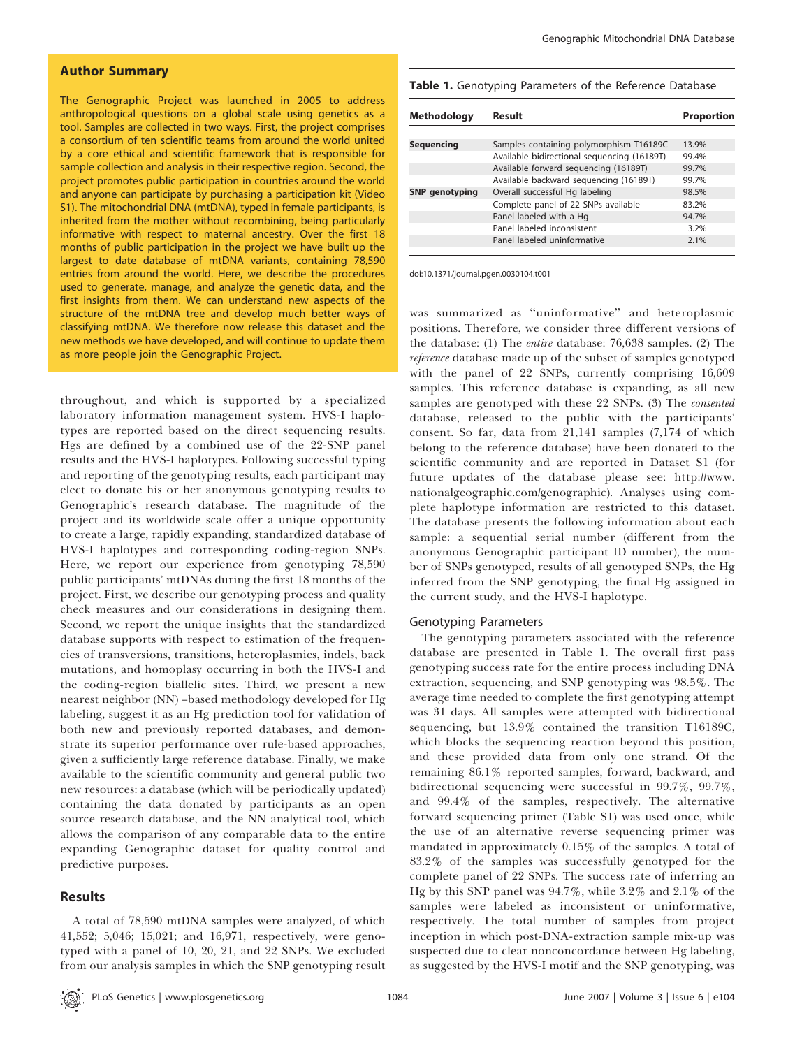## Author Summary

The Genographic Project was launched in 2005 to address anthropological questions on a global scale using genetics as a tool. Samples are collected in two ways. First, the project comprises a consortium of ten scientific teams from around the world united by a core ethical and scientific framework that is responsible for sample collection and analysis in their respective region. Second, the project promotes public participation in countries around the world and anyone can participate by purchasing a participation kit (Video S1). The mitochondrial DNA (mtDNA), typed in female participants, is inherited from the mother without recombining, being particularly informative with respect to maternal ancestry. Over the first 18 months of public participation in the project we have built up the largest to date database of mtDNA variants, containing 78,590 entries from around the world. Here, we describe the procedures used to generate, manage, and analyze the genetic data, and the first insights from them. We can understand new aspects of the structure of the mtDNA tree and develop much better ways of classifying mtDNA. We therefore now release this dataset and the new methods we have developed, and will continue to update them as more people join the Genographic Project.

throughout, and which is supported by a specialized laboratory information management system. HVS-I haplotypes are reported based on the direct sequencing results. Hgs are defined by a combined use of the 22-SNP panel results and the HVS-I haplotypes. Following successful typing and reporting of the genotyping results, each participant may elect to donate his or her anonymous genotyping results to Genographic's research database. The magnitude of the project and its worldwide scale offer a unique opportunity to create a large, rapidly expanding, standardized database of HVS-I haplotypes and corresponding coding-region SNPs. Here, we report our experience from genotyping 78,590 public participants' mtDNAs during the first 18 months of the project. First, we describe our genotyping process and quality check measures and our considerations in designing them. Second, we report the unique insights that the standardized database supports with respect to estimation of the frequencies of transversions, transitions, heteroplasmies, indels, back mutations, and homoplasy occurring in both the HVS-I and the coding-region biallelic sites. Third, we present a new nearest neighbor (NN) –based methodology developed for Hg labeling, suggest it as an Hg prediction tool for validation of both new and previously reported databases, and demonstrate its superior performance over rule-based approaches, given a sufficiently large reference database. Finally, we make available to the scientific community and general public two new resources: a database (which will be periodically updated) containing the data donated by participants as an open source research database, and the NN analytical tool, which allows the comparison of any comparable data to the entire expanding Genographic dataset for quality control and predictive purposes.

## Results

A total of 78,590 mtDNA samples were analyzed, of which 41,552; 5,046; 15,021; and 16,971, respectively, were genotyped with a panel of 10, 20, 21, and 22 SNPs. We excluded from our analysis samples in which the SNP genotyping result Table 1. Genotyping Parameters of the Reference Database

| <b>Methodology</b>    | Result                                      | <b>Proportion</b> |
|-----------------------|---------------------------------------------|-------------------|
|                       |                                             |                   |
| Sequencing            | Samples containing polymorphism T16189C     | 13.9%             |
|                       | Available bidirectional sequencing (16189T) | 99.4%             |
|                       | Available forward sequencing (16189T)       | 99.7%             |
|                       | Available backward sequencing (16189T)      | 99.7%             |
| <b>SNP</b> genotyping | Overall successful Hg labeling              | 98.5%             |
|                       | Complete panel of 22 SNPs available         | 83.2%             |
|                       | Panel labeled with a Hq                     | 94.7%             |
|                       | Panel labeled inconsistent                  | 3.2%              |
|                       | Panel labeled uninformative                 | 2.1%              |
|                       |                                             |                   |

doi:10.1371/journal.pgen.0030104.t001

was summarized as ''uninformative'' and heteroplasmic positions. Therefore, we consider three different versions of the database: (1) The entire database: 76,638 samples. (2) The reference database made up of the subset of samples genotyped with the panel of 22 SNPs, currently comprising 16,609 samples. This reference database is expanding, as all new samples are genotyped with these 22 SNPs. (3) The *consented* database, released to the public with the participants' consent. So far, data from 21,141 samples (7,174 of which belong to the reference database) have been donated to the scientific community and are reported in Dataset S1 (for future updates of the database please see: http://www. nationalgeographic.com/genographic). Analyses using complete haplotype information are restricted to this dataset. The database presents the following information about each sample: a sequential serial number (different from the anonymous Genographic participant ID number), the number of SNPs genotyped, results of all genotyped SNPs, the Hg inferred from the SNP genotyping, the final Hg assigned in the current study, and the HVS-I haplotype.

#### Genotyping Parameters

The genotyping parameters associated with the reference database are presented in Table 1. The overall first pass genotyping success rate for the entire process including DNA extraction, sequencing, and SNP genotyping was 98.5%. The average time needed to complete the first genotyping attempt was 31 days. All samples were attempted with bidirectional sequencing, but 13.9% contained the transition T16189C, which blocks the sequencing reaction beyond this position, and these provided data from only one strand. Of the remaining 86.1% reported samples, forward, backward, and bidirectional sequencing were successful in 99.7%, 99.7%, and 99.4% of the samples, respectively. The alternative forward sequencing primer (Table S1) was used once, while the use of an alternative reverse sequencing primer was mandated in approximately 0.15% of the samples. A total of 83.2% of the samples was successfully genotyped for the complete panel of 22 SNPs. The success rate of inferring an Hg by this SNP panel was 94.7%, while 3.2% and 2.1% of the samples were labeled as inconsistent or uninformative, respectively. The total number of samples from project inception in which post-DNA-extraction sample mix-up was suspected due to clear nonconcordance between Hg labeling, as suggested by the HVS-I motif and the SNP genotyping, was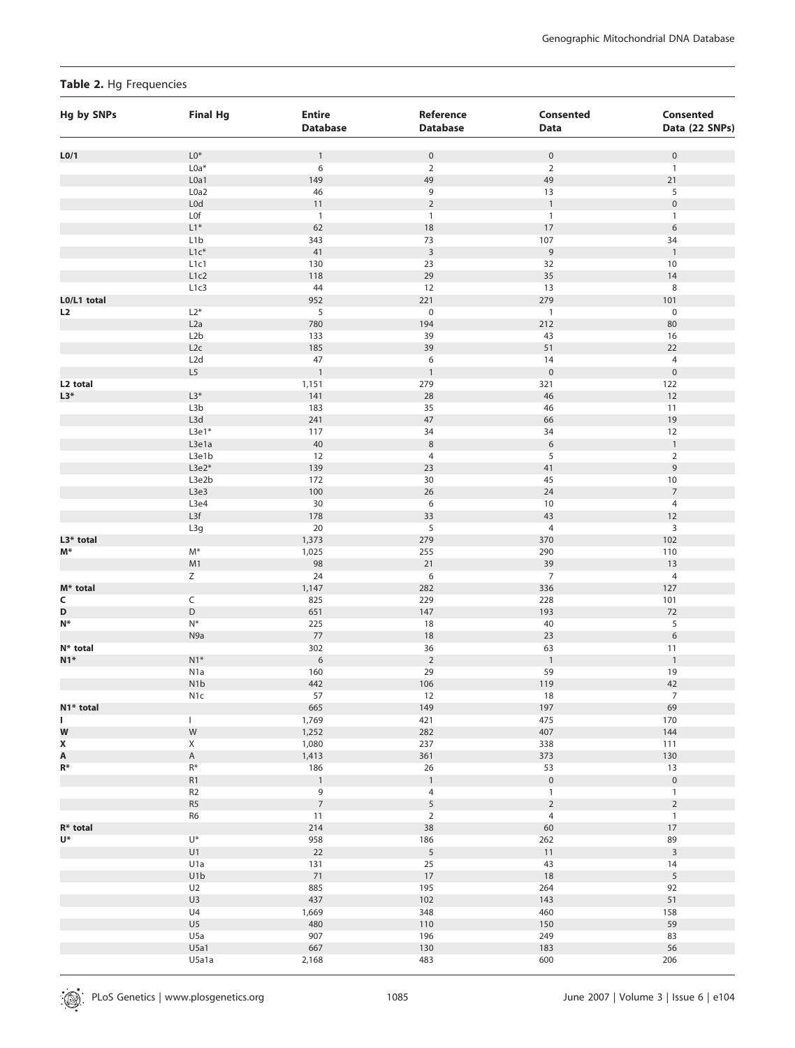# Table 2. Hg Frequencies

| Hg by SNPs         | <b>Final Hg</b>               | <b>Entire</b><br><b>Database</b> | Reference<br><b>Database</b> | Consented<br>Data   | <b>Consented</b><br>Data (22 SNPs) |
|--------------------|-------------------------------|----------------------------------|------------------------------|---------------------|------------------------------------|
| L <sub>0/1</sub>   | $LO*$                         | $\mathbf{1}$                     | $\mathbf 0$                  | $\mathsf{O}\xspace$ | $\mathbf 0$                        |
|                    | $L0a*$                        | 6                                | $\overline{2}$               | $\overline{2}$      | $\mathbf{1}$                       |
|                    | L0a1                          | 149                              | 49                           | 49                  | 21                                 |
|                    | L0a2                          | 46                               | 9                            | 13                  | 5                                  |
|                    | L0d                           | 11                               | $\overline{2}$               | $\mathbf{1}$        | $\mathbf 0$                        |
|                    | LOf                           | $\overline{1}$                   | $\mathbf{1}$                 | $\mathbf{1}$        | $\mathbf{1}$                       |
|                    | $L1*$                         | 62                               | 18                           | $17\,$              | $\sqrt{6}$                         |
|                    | L <sub>1</sub> b              | 343                              | 73                           | 107                 | 34                                 |
|                    | $L1c*$                        | 41                               | $\overline{3}$               | $\mathsf 9$         | $\mathbf{1}$                       |
|                    | L <sub>1</sub> c1             | 130                              | 23                           | 32                  | 10                                 |
|                    | L1c2                          | 118                              | 29                           | 35                  | 14                                 |
|                    | L <sub>1</sub> c <sub>3</sub> | 44                               | 12                           | 13                  | 8                                  |
| L0/L1 total        |                               | 952                              | 221                          | 279                 | 101                                |
| L2                 | $L2*$                         | 5                                | $\pmb{0}$                    | $\mathbf{1}$        | $\mathbf 0$                        |
|                    | L2a                           | 780                              | 194                          | 212                 | 80                                 |
|                    |                               |                                  |                              |                     |                                    |
|                    | L2b                           | 133                              | 39                           | 43                  | 16                                 |
|                    | L2c                           | 185                              | 39                           | 51                  | 22                                 |
|                    | L <sub>2</sub> d              | 47                               | 6                            | 14                  | $\overline{4}$                     |
|                    | $\mathsf{L}5$                 | $\mathbf{1}$                     | $\mathbf{1}$                 | $\mathbf 0$         | $\mathbf 0$                        |
| L2 total           |                               | 1,151                            | 279                          | 321                 | 122                                |
| L3*                | $L3*$                         | 141                              | 28                           | 46                  | 12                                 |
|                    | L3b                           | 183                              | 35                           | 46                  | 11                                 |
|                    | L3d                           | 241                              | 47                           | 66                  | 19                                 |
|                    | $L3e1*$                       | 117                              | 34                           | 34                  | 12                                 |
|                    | L3e1a                         | 40                               | $\,8\,$                      | $\sqrt{6}$          | $\mathbf{1}$                       |
|                    | L3e1b                         | 12                               | $\overline{4}$               | 5                   | $\overline{2}$                     |
|                    | $L3e2*$                       | 139                              | 23                           | 41                  | $\mathsf 9$                        |
|                    |                               |                                  |                              | 45                  | $10\,$                             |
|                    | L3e2b                         | 172                              | 30                           |                     |                                    |
|                    | L3e3                          | 100                              | 26                           | 24                  | $\overline{7}$                     |
|                    | L3e4                          | 30                               | 6                            | 10                  | $\overline{4}$                     |
|                    | L3f                           | 178                              | 33                           | 43                  | 12                                 |
|                    | L3g                           | 20                               | 5                            | 4                   | 3                                  |
| L3* total          |                               | 1,373                            | 279                          | 370                 | 102                                |
| M*                 | $\mathsf{M}^*$                | 1,025                            | 255                          | 290                 | 110                                |
|                    | M1                            | 98                               | 21                           | 39                  | 13                                 |
|                    | Ζ                             | 24                               | 6                            | $\overline{7}$      | $\overline{4}$                     |
| M* total           |                               | 1,147                            | 282                          | 336                 | 127                                |
| c                  | C                             | 825                              | 229                          | 228                 | 101                                |
| D                  | D                             | 651                              | 147                          | 193                 | 72                                 |
| N*                 | $N^*$                         | 225                              | 18                           | 40                  | 5                                  |
|                    | N <sub>9a</sub>               | 77                               | 18                           | 23                  | $\sqrt{6}$                         |
| N* total           |                               | 302                              | 36                           | 63                  | 11                                 |
| $N1*$              | $N1*$                         | 6                                | $\overline{2}$               | $\mathbf{1}$        | $\mathbf{1}$                       |
|                    | N1a                           |                                  | 29                           |                     | 19                                 |
|                    |                               | 160                              |                              | 59                  |                                    |
|                    | N <sub>1</sub> b              | 442                              | 106                          | 119                 | 42                                 |
|                    | N <sub>1</sub> c              | 57                               | 12                           | 18                  | 7                                  |
| N1* total          |                               | 665                              | 149                          | 197                 | 69                                 |
| L.                 | $\mathbf{I}$                  | 1,769                            | 421                          | 475                 | 170                                |
| W                  | ${\sf W}$                     | 1,252                            | 282                          | 407                 | 144                                |
| $\pmb{\mathsf{X}}$ | $\mathsf X$                   | 1,080                            | 237                          | 338                 | 111                                |
| A                  | $\mathsf A$                   | 1,413                            | 361                          | 373                 | 130                                |
| $R^*$              | $R^*$                         | 186                              | 26                           | 53                  | 13                                 |
|                    | $\mathsf{R}1$                 | $\,1\,$                          | $\mathbf{1}$                 | $\mathbf 0$         | $\mathbf 0$                        |
|                    | R <sub>2</sub>                | 9                                | $\overline{4}$               | $\mathbf{1}$        | $\mathbf{1}$                       |
|                    | $R5\,$                        | $\sqrt{ }$                       | $\sqrt{5}$                   | $\overline{2}$      | $\sqrt{2}$                         |
|                    | R6                            | 11                               | $\overline{2}$               | $\overline{4}$      | $\mathbf{1}$                       |
| R* total           |                               | 214                              | 38                           | 60                  | $17\,$                             |
| U*                 | $\mathsf{U}^*$                | 958                              | 186                          | 262                 | 89                                 |
|                    | U1                            | 22                               | $\sqrt{5}$                   | $11\,$              | $\overline{3}$                     |
|                    |                               |                                  |                              |                     |                                    |
|                    | U1a                           | 131                              | 25                           | 43                  | 14                                 |
|                    | U1b                           | $71$                             | 17                           | $18\,$              | $\sqrt{5}$                         |
|                    | U <sub>2</sub>                | 885                              | 195                          | 264                 | 92                                 |
|                    | U3                            | 437                              | 102                          | 143                 | $51\,$                             |
|                    | U <sub>4</sub>                | 1,669                            | 348                          | 460                 | 158                                |
|                    | U <sub>5</sub>                | 480                              | 110                          | 150                 | 59                                 |
|                    | U5a                           | 907                              | 196                          | 249                 | 83                                 |
|                    | U5a1                          | 667                              | 130                          | 183                 | 56                                 |
|                    | U5a1a                         | 2,168                            | 483                          | 600                 | 206                                |
|                    |                               |                                  |                              |                     |                                    |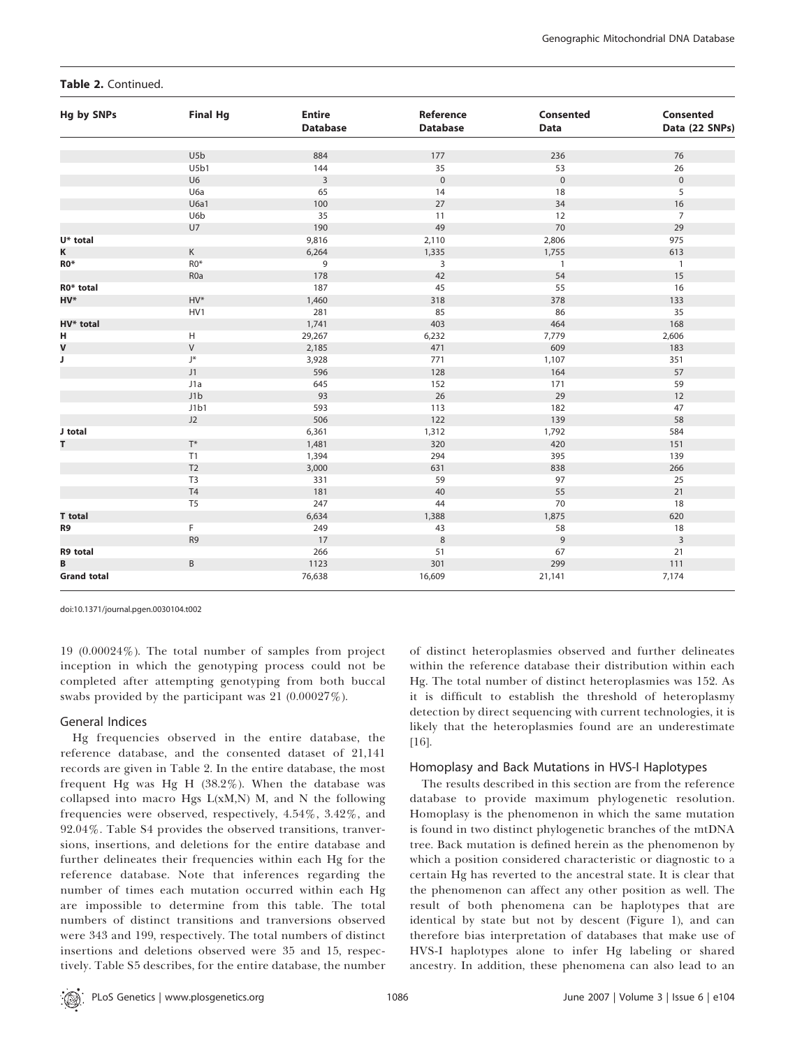#### Table 2. Continued.

| Hq by SNPs         | <b>Final Hg</b>  | <b>Entire</b>   | Reference       | Consented      | Consented      |
|--------------------|------------------|-----------------|-----------------|----------------|----------------|
|                    |                  | <b>Database</b> | <b>Database</b> | <b>Data</b>    | Data (22 SNPs) |
|                    |                  |                 |                 |                |                |
|                    | U5b              | 884             | 177             | 236            | 76             |
|                    | U5b1             | 144             | 35              | 53             | 26             |
|                    | U <sub>6</sub>   | $\overline{3}$  | $\mathbf 0$     | $\mathbf 0$    | $\mathbf 0$    |
|                    | U <sub>6a</sub>  | 65              | 14              | 18             | 5              |
|                    | <b>U6a1</b>      | 100             | 27              | 34             | 16             |
|                    | U6b              | 35              | 11              | 12             | $\overline{7}$ |
|                    | U7               | 190             | 49              | 70             | 29             |
| U* total           |                  | 9,816           | 2,110           | 2,806          | 975            |
| K                  | K                | 6,264           | 1,335           | 1,755          | 613            |
| RO*                | $RO*$            | 9               | 3               | $\mathbf{1}$   | $\overline{1}$ |
|                    | R <sub>0</sub> a | 178             | 42              | 54             | 15             |
| R0* total          |                  | 187             | 45              | 55             | 16             |
| HV*                | $HV^*$           | 1,460           | 318             | 378            | 133            |
|                    | HV1              | 281             | 85              | 86             | 35             |
| HV* total          |                  | 1,741           | 403             | 464            | 168            |
| н                  | Н                | 29,267          | 6,232           | 7,779          | 2,606          |
| V                  | $\vee$           | 2,185           | 471             | 609            | 183            |
| J                  | J*               | 3,928           | 771             | 1,107          | 351            |
|                    | J1               | 596             | 128             | 164            | 57             |
|                    | J1a              | 645             | 152             | 171            | 59             |
|                    | J1b              | 93              | 26              | 29             | 12             |
|                    | J1b1             | 593             | 113             | 182            | 47             |
|                    | J2               | 506             | 122             | 139            | 58             |
| J total            |                  | 6,361           | 1,312           | 1,792          | 584            |
| T                  | $T^*$            | 1,481           | 320             | 420            | 151            |
|                    | T1               | 1,394           | 294             | 395            | 139            |
|                    | T <sub>2</sub>   | 3,000           | 631             | 838            | 266            |
|                    | T <sub>3</sub>   | 331             | 59              | 97             | 25             |
|                    | T4               | 181             | 40              | 55             | 21             |
|                    | T <sub>5</sub>   | 247             | 44              | 70             | 18             |
| <b>T</b> total     |                  | 6,634           | 1,388           | 1,875          | 620            |
| R9                 | F.               | 249             | 43              | 58             | 18             |
|                    | R <sub>9</sub>   | 17              | $\,8\,$         | $\overline{9}$ | 3              |
| R9 total           |                  | 266             | 51              | 67             | 21             |
| B                  | $\sf B$          | 1123            | 301             | 299            | 111            |
| <b>Grand total</b> |                  | 76,638          | 16,609          | 21,141         | 7,174          |

doi:10.1371/journal.pgen.0030104.t002

19 (0.00024%). The total number of samples from project inception in which the genotyping process could not be completed after attempting genotyping from both buccal swabs provided by the participant was 21 (0.00027%).

## General Indices

Hg frequencies observed in the entire database, the reference database, and the consented dataset of 21,141 records are given in Table 2. In the entire database, the most frequent Hg was Hg H (38.2%). When the database was collapsed into macro Hgs L(xM,N) M, and N the following frequencies were observed, respectively, 4.54%, 3.42%, and 92.04%. Table S4 provides the observed transitions, tranversions, insertions, and deletions for the entire database and further delineates their frequencies within each Hg for the reference database. Note that inferences regarding the number of times each mutation occurred within each Hg are impossible to determine from this table. The total numbers of distinct transitions and tranversions observed were 343 and 199, respectively. The total numbers of distinct insertions and deletions observed were 35 and 15, respectively. Table S5 describes, for the entire database, the number

of distinct heteroplasmies observed and further delineates within the reference database their distribution within each Hg. The total number of distinct heteroplasmies was 152. As it is difficult to establish the threshold of heteroplasmy detection by direct sequencing with current technologies, it is likely that the heteroplasmies found are an underestimate [16].

## Homoplasy and Back Mutations in HVS-I Haplotypes

The results described in this section are from the reference database to provide maximum phylogenetic resolution. Homoplasy is the phenomenon in which the same mutation is found in two distinct phylogenetic branches of the mtDNA tree. Back mutation is defined herein as the phenomenon by which a position considered characteristic or diagnostic to a certain Hg has reverted to the ancestral state. It is clear that the phenomenon can affect any other position as well. The result of both phenomena can be haplotypes that are identical by state but not by descent (Figure 1), and can therefore bias interpretation of databases that make use of HVS-I haplotypes alone to infer Hg labeling or shared ancestry. In addition, these phenomena can also lead to an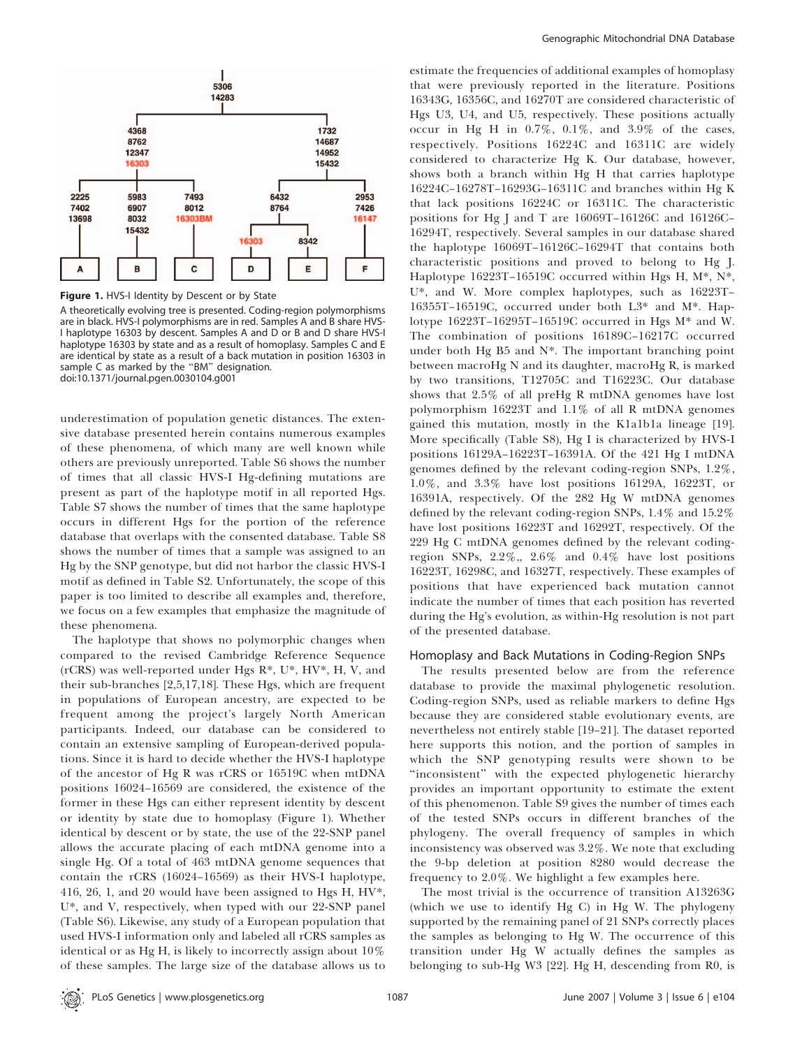

Figure 1. HVS-I Identity by Descent or by State

A theoretically evolving tree is presented. Coding-region polymorphisms are in black. HVS-I polymorphisms are in red. Samples A and B share HVS-I haplotype 16303 by descent. Samples A and D or B and D share HVS-I haplotype 16303 by state and as a result of homoplasy. Samples C and E are identical by state as a result of a back mutation in position 16303 in sample C as marked by the "BM" designation. doi:10.1371/journal.pgen.0030104.g001

underestimation of population genetic distances. The extensive database presented herein contains numerous examples of these phenomena, of which many are well known while others are previously unreported. Table S6 shows the number of times that all classic HVS-I Hg-defining mutations are present as part of the haplotype motif in all reported Hgs. Table S7 shows the number of times that the same haplotype occurs in different Hgs for the portion of the reference database that overlaps with the consented database. Table S8 shows the number of times that a sample was assigned to an Hg by the SNP genotype, but did not harbor the classic HVS-I motif as defined in Table S2. Unfortunately, the scope of this paper is too limited to describe all examples and, therefore, we focus on a few examples that emphasize the magnitude of these phenomena.

The haplotype that shows no polymorphic changes when compared to the revised Cambridge Reference Sequence (rCRS) was well-reported under Hgs R\*, U\*, HV\*, H, V, and their sub-branches [2,5,17,18]. These Hgs, which are frequent in populations of European ancestry, are expected to be frequent among the project's largely North American participants. Indeed, our database can be considered to contain an extensive sampling of European-derived populations. Since it is hard to decide whether the HVS-I haplotype of the ancestor of Hg R was rCRS or 16519C when mtDNA positions 16024–16569 are considered, the existence of the former in these Hgs can either represent identity by descent or identity by state due to homoplasy (Figure 1). Whether identical by descent or by state, the use of the 22-SNP panel allows the accurate placing of each mtDNA genome into a single Hg. Of a total of 463 mtDNA genome sequences that contain the rCRS (16024–16569) as their HVS-I haplotype, 416, 26, 1, and 20 would have been assigned to Hgs H, HV\*, U\*, and V, respectively, when typed with our 22-SNP panel (Table S6). Likewise, any study of a European population that used HVS-I information only and labeled all rCRS samples as identical or as Hg H, is likely to incorrectly assign about 10% of these samples. The large size of the database allows us to

estimate the frequencies of additional examples of homoplasy that were previously reported in the literature. Positions 16343G, 16356C, and 16270T are considered characteristic of Hgs U3, U4, and U5, respectively. These positions actually occur in Hg H in  $0.7\%$ ,  $0.1\%$ , and  $3.9\%$  of the cases, respectively. Positions 16224C and 16311C are widely considered to characterize Hg K. Our database, however, shows both a branch within Hg H that carries haplotype 16224C–16278T–16293G–16311C and branches within Hg K that lack positions 16224C or 16311C. The characteristic positions for Hg J and T are 16069T–16126C and 16126C– 16294T, respectively. Several samples in our database shared the haplotype 16069T–16126C–16294T that contains both characteristic positions and proved to belong to Hg J. Haplotype 16223T–16519C occurred within Hgs H, M\*, N\*, U\*, and W. More complex haplotypes, such as 16223T– 16355T–16519C, occurred under both L3\* and M\*. Haplotype 16223T–16295T–16519C occurred in Hgs M\* and W. The combination of positions 16189C–16217C occurred under both Hg B5 and N\*. The important branching point between macroHg N and its daughter, macroHg R, is marked by two transitions, T12705C and T16223C. Our database shows that 2.5% of all preHg R mtDNA genomes have lost polymorphism 16223T and 1.1% of all R mtDNA genomes gained this mutation, mostly in the K1a1b1a lineage [19]. More specifically (Table S8), Hg I is characterized by HVS-I positions 16129A–16223T–16391A. Of the 421 Hg I mtDNA genomes defined by the relevant coding-region SNPs, 1.2%, 1.0%, and 3.3% have lost positions 16129A, 16223T, or 16391A, respectively. Of the 282 Hg W mtDNA genomes defined by the relevant coding-region SNPs, 1.4% and 15.2% have lost positions 16223T and 16292T, respectively. Of the 229 Hg C mtDNA genomes defined by the relevant codingregion SNPs, 2.2%,, 2.6% and 0.4% have lost positions 16223T, 16298C, and 16327T, respectively. These examples of positions that have experienced back mutation cannot indicate the number of times that each position has reverted during the Hg's evolution, as within-Hg resolution is not part of the presented database.

#### Homoplasy and Back Mutations in Coding-Region SNPs

The results presented below are from the reference database to provide the maximal phylogenetic resolution. Coding-region SNPs, used as reliable markers to define Hgs because they are considered stable evolutionary events, are nevertheless not entirely stable [19–21]. The dataset reported here supports this notion, and the portion of samples in which the SNP genotyping results were shown to be "inconsistent" with the expected phylogenetic hierarchy provides an important opportunity to estimate the extent of this phenomenon. Table S9 gives the number of times each of the tested SNPs occurs in different branches of the phylogeny. The overall frequency of samples in which inconsistency was observed was 3.2%. We note that excluding the 9-bp deletion at position 8280 would decrease the frequency to 2.0%. We highlight a few examples here.

The most trivial is the occurrence of transition A13263G (which we use to identify Hg C) in Hg W. The phylogeny supported by the remaining panel of 21 SNPs correctly places the samples as belonging to Hg W. The occurrence of this transition under Hg W actually defines the samples as belonging to sub-Hg W3 [22]. Hg H, descending from R0, is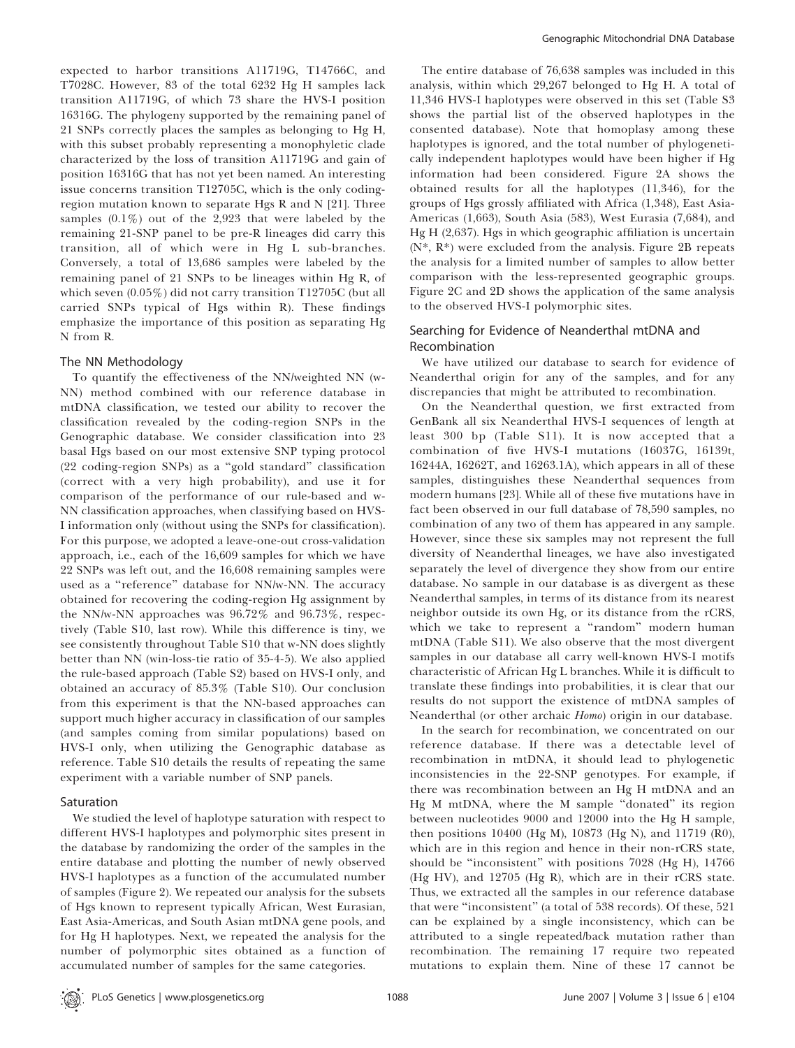expected to harbor transitions A11719G, T14766C, and T7028C. However, 83 of the total 6232 Hg H samples lack transition A11719G, of which 73 share the HVS-I position 16316G. The phylogeny supported by the remaining panel of 21 SNPs correctly places the samples as belonging to Hg H, with this subset probably representing a monophyletic clade characterized by the loss of transition A11719G and gain of position 16316G that has not yet been named. An interesting issue concerns transition T12705C, which is the only codingregion mutation known to separate Hgs R and N [21]. Three samples (0.1%) out of the 2,923 that were labeled by the remaining 21-SNP panel to be pre-R lineages did carry this transition, all of which were in Hg L sub-branches. Conversely, a total of 13,686 samples were labeled by the remaining panel of 21 SNPs to be lineages within Hg R, of which seven (0.05%) did not carry transition T12705C (but all carried SNPs typical of Hgs within R). These findings emphasize the importance of this position as separating Hg N from R.

#### The NN Methodology

To quantify the effectiveness of the NN/weighted NN (w-NN) method combined with our reference database in mtDNA classification, we tested our ability to recover the classification revealed by the coding-region SNPs in the Genographic database. We consider classification into 23 basal Hgs based on our most extensive SNP typing protocol (22 coding-region SNPs) as a ''gold standard'' classification (correct with a very high probability), and use it for comparison of the performance of our rule-based and w-NN classification approaches, when classifying based on HVS-I information only (without using the SNPs for classification). For this purpose, we adopted a leave-one-out cross-validation approach, i.e., each of the 16,609 samples for which we have 22 SNPs was left out, and the 16,608 remaining samples were used as a ''reference'' database for NN/w-NN. The accuracy obtained for recovering the coding-region Hg assignment by the NN/w-NN approaches was 96.72% and 96.73%, respectively (Table S10, last row). While this difference is tiny, we see consistently throughout Table S10 that w-NN does slightly better than NN (win-loss-tie ratio of 35-4-5). We also applied the rule-based approach (Table S2) based on HVS-I only, and obtained an accuracy of 85.3% (Table S10). Our conclusion from this experiment is that the NN-based approaches can support much higher accuracy in classification of our samples (and samples coming from similar populations) based on HVS-I only, when utilizing the Genographic database as reference. Table S10 details the results of repeating the same experiment with a variable number of SNP panels.

#### Saturation

We studied the level of haplotype saturation with respect to different HVS-I haplotypes and polymorphic sites present in the database by randomizing the order of the samples in the entire database and plotting the number of newly observed HVS-I haplotypes as a function of the accumulated number of samples (Figure 2). We repeated our analysis for the subsets of Hgs known to represent typically African, West Eurasian, East Asia-Americas, and South Asian mtDNA gene pools, and for Hg H haplotypes. Next, we repeated the analysis for the number of polymorphic sites obtained as a function of accumulated number of samples for the same categories.

The entire database of 76,638 samples was included in this analysis, within which 29,267 belonged to Hg H. A total of 11,346 HVS-I haplotypes were observed in this set (Table S3 shows the partial list of the observed haplotypes in the consented database). Note that homoplasy among these haplotypes is ignored, and the total number of phylogenetically independent haplotypes would have been higher if Hg information had been considered. Figure 2A shows the obtained results for all the haplotypes (11,346), for the groups of Hgs grossly affiliated with Africa (1,348), East Asia-Americas (1,663), South Asia (583), West Eurasia (7,684), and Hg H (2,637). Hgs in which geographic affiliation is uncertain (N\*, R\*) were excluded from the analysis. Figure 2B repeats the analysis for a limited number of samples to allow better comparison with the less-represented geographic groups. Figure 2C and 2D shows the application of the same analysis to the observed HVS-I polymorphic sites.

## Searching for Evidence of Neanderthal mtDNA and Recombination

We have utilized our database to search for evidence of Neanderthal origin for any of the samples, and for any discrepancies that might be attributed to recombination.

On the Neanderthal question, we first extracted from GenBank all six Neanderthal HVS-I sequences of length at least 300 bp (Table S11). It is now accepted that a combination of five HVS-I mutations (16037G, 16139t, 16244A, 16262T, and 16263.1A), which appears in all of these samples, distinguishes these Neanderthal sequences from modern humans [23]. While all of these five mutations have in fact been observed in our full database of 78,590 samples, no combination of any two of them has appeared in any sample. However, since these six samples may not represent the full diversity of Neanderthal lineages, we have also investigated separately the level of divergence they show from our entire database. No sample in our database is as divergent as these Neanderthal samples, in terms of its distance from its nearest neighbor outside its own Hg, or its distance from the rCRS, which we take to represent a "random" modern human mtDNA (Table S11). We also observe that the most divergent samples in our database all carry well-known HVS-I motifs characteristic of African Hg L branches. While it is difficult to translate these findings into probabilities, it is clear that our results do not support the existence of mtDNA samples of Neanderthal (or other archaic Homo) origin in our database.

In the search for recombination, we concentrated on our reference database. If there was a detectable level of recombination in mtDNA, it should lead to phylogenetic inconsistencies in the 22-SNP genotypes. For example, if there was recombination between an Hg H mtDNA and an Hg M mtDNA, where the M sample ''donated'' its region between nucleotides 9000 and 12000 into the Hg H sample, then positions 10400 (Hg M), 10873 (Hg N), and 11719 (R0), which are in this region and hence in their non-rCRS state, should be ''inconsistent'' with positions 7028 (Hg H), 14766 (Hg HV), and 12705 (Hg R), which are in their rCRS state. Thus, we extracted all the samples in our reference database that were ''inconsistent'' (a total of 538 records). Of these, 521 can be explained by a single inconsistency, which can be attributed to a single repeated/back mutation rather than recombination. The remaining 17 require two repeated mutations to explain them. Nine of these 17 cannot be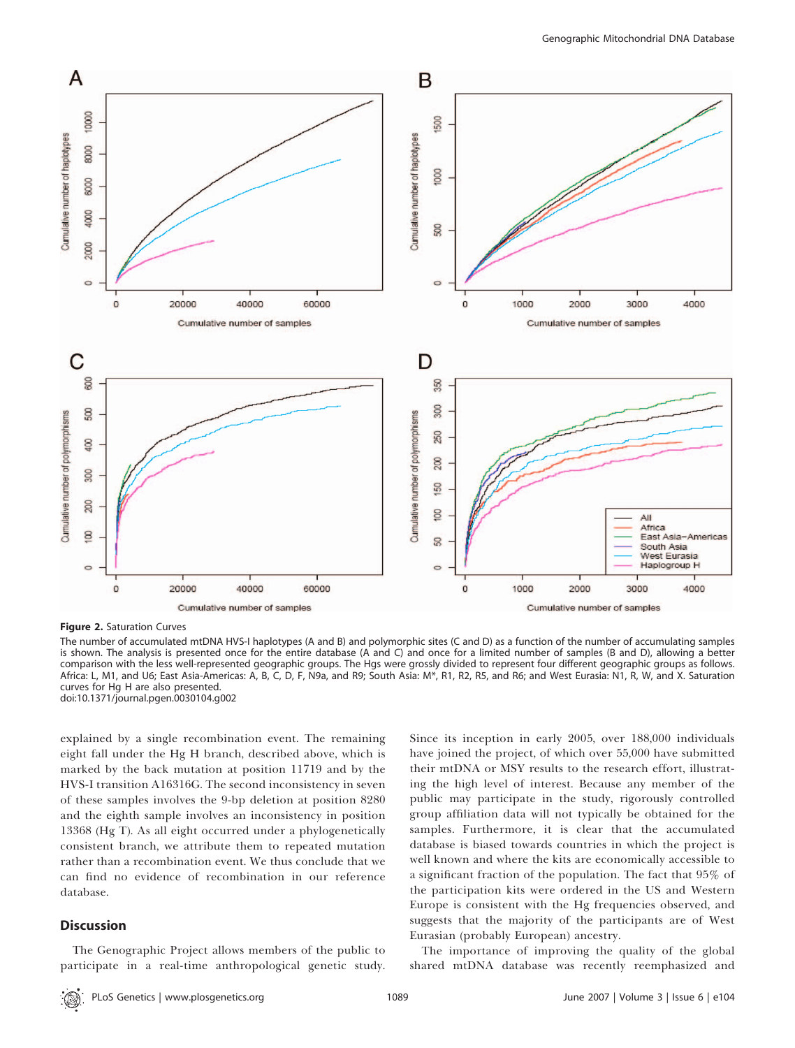

Figure 2. Saturation Curves

The number of accumulated mtDNA HVS-I haplotypes (A and B) and polymorphic sites (C and D) as a function of the number of accumulating samples is shown. The analysis is presented once for the entire database (A and C) and once for a limited number of samples (B and D), allowing a better comparison with the less well-represented geographic groups. The Hgs were grossly divided to represent four different geographic groups as follows. Africa: L, M1, and U6; East Asia-Americas: A, B, C, D, F, N9a, and R9; South Asia: M\*, R1, R2, R5, and R6; and West Eurasia: N1, R, W, and X. Saturation curves for Hg H are also presented. doi:10.1371/journal.pgen.0030104.g002

explained by a single recombination event. The remaining eight fall under the Hg H branch, described above, which is marked by the back mutation at position 11719 and by the HVS-I transition A16316G. The second inconsistency in seven of these samples involves the 9-bp deletion at position 8280 and the eighth sample involves an inconsistency in position 13368 (Hg T). As all eight occurred under a phylogenetically consistent branch, we attribute them to repeated mutation rather than a recombination event. We thus conclude that we can find no evidence of recombination in our reference database.

## **Discussion**

The Genographic Project allows members of the public to participate in a real-time anthropological genetic study.

Since its inception in early 2005, over 188,000 individuals have joined the project, of which over 55,000 have submitted their mtDNA or MSY results to the research effort, illustrating the high level of interest. Because any member of the public may participate in the study, rigorously controlled group affiliation data will not typically be obtained for the samples. Furthermore, it is clear that the accumulated database is biased towards countries in which the project is well known and where the kits are economically accessible to a significant fraction of the population. The fact that 95% of the participation kits were ordered in the US and Western Europe is consistent with the Hg frequencies observed, and suggests that the majority of the participants are of West Eurasian (probably European) ancestry.

The importance of improving the quality of the global shared mtDNA database was recently reemphasized and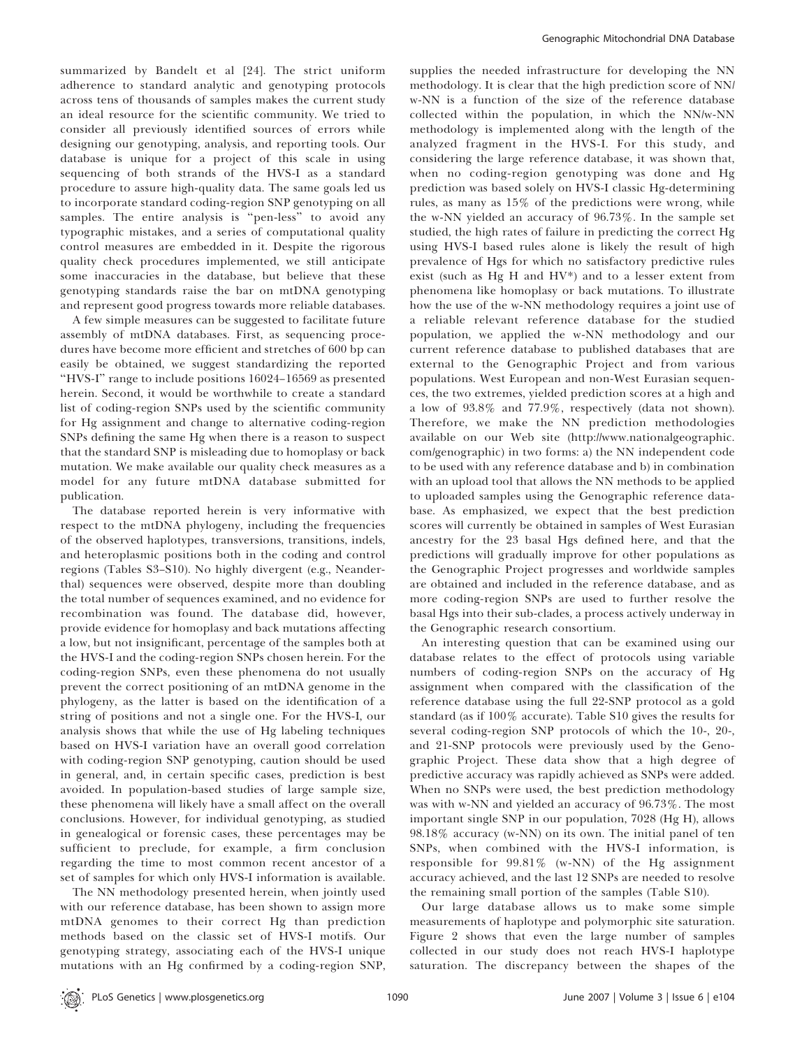summarized by Bandelt et al [24]. The strict uniform adherence to standard analytic and genotyping protocols across tens of thousands of samples makes the current study an ideal resource for the scientific community. We tried to consider all previously identified sources of errors while designing our genotyping, analysis, and reporting tools. Our database is unique for a project of this scale in using sequencing of both strands of the HVS-I as a standard procedure to assure high-quality data. The same goals led us to incorporate standard coding-region SNP genotyping on all samples. The entire analysis is ''pen-less'' to avoid any typographic mistakes, and a series of computational quality control measures are embedded in it. Despite the rigorous quality check procedures implemented, we still anticipate some inaccuracies in the database, but believe that these genotyping standards raise the bar on mtDNA genotyping and represent good progress towards more reliable databases.

A few simple measures can be suggested to facilitate future assembly of mtDNA databases. First, as sequencing procedures have become more efficient and stretches of 600 bp can easily be obtained, we suggest standardizing the reported ''HVS-I'' range to include positions 16024–16569 as presented herein. Second, it would be worthwhile to create a standard list of coding-region SNPs used by the scientific community for Hg assignment and change to alternative coding-region SNPs defining the same Hg when there is a reason to suspect that the standard SNP is misleading due to homoplasy or back mutation. We make available our quality check measures as a model for any future mtDNA database submitted for publication.

The database reported herein is very informative with respect to the mtDNA phylogeny, including the frequencies of the observed haplotypes, transversions, transitions, indels, and heteroplasmic positions both in the coding and control regions (Tables S3–S10). No highly divergent (e.g., Neanderthal) sequences were observed, despite more than doubling the total number of sequences examined, and no evidence for recombination was found. The database did, however, provide evidence for homoplasy and back mutations affecting a low, but not insignificant, percentage of the samples both at the HVS-I and the coding-region SNPs chosen herein. For the coding-region SNPs, even these phenomena do not usually prevent the correct positioning of an mtDNA genome in the phylogeny, as the latter is based on the identification of a string of positions and not a single one. For the HVS-I, our analysis shows that while the use of Hg labeling techniques based on HVS-I variation have an overall good correlation with coding-region SNP genotyping, caution should be used in general, and, in certain specific cases, prediction is best avoided. In population-based studies of large sample size, these phenomena will likely have a small affect on the overall conclusions. However, for individual genotyping, as studied in genealogical or forensic cases, these percentages may be sufficient to preclude, for example, a firm conclusion regarding the time to most common recent ancestor of a set of samples for which only HVS-I information is available.

The NN methodology presented herein, when jointly used with our reference database, has been shown to assign more mtDNA genomes to their correct Hg than prediction methods based on the classic set of HVS-I motifs. Our genotyping strategy, associating each of the HVS-I unique mutations with an Hg confirmed by a coding-region SNP,

supplies the needed infrastructure for developing the NN methodology. It is clear that the high prediction score of NN/ w-NN is a function of the size of the reference database collected within the population, in which the NN/w-NN methodology is implemented along with the length of the analyzed fragment in the HVS-I. For this study, and considering the large reference database, it was shown that, when no coding-region genotyping was done and Hg prediction was based solely on HVS-I classic Hg-determining rules, as many as 15% of the predictions were wrong, while the w-NN yielded an accuracy of 96.73%. In the sample set studied, the high rates of failure in predicting the correct Hg using HVS-I based rules alone is likely the result of high prevalence of Hgs for which no satisfactory predictive rules exist (such as Hg H and HV\*) and to a lesser extent from phenomena like homoplasy or back mutations. To illustrate how the use of the w-NN methodology requires a joint use of a reliable relevant reference database for the studied population, we applied the w-NN methodology and our current reference database to published databases that are external to the Genographic Project and from various populations. West European and non-West Eurasian sequences, the two extremes, yielded prediction scores at a high and a low of 93.8% and 77.9%, respectively (data not shown). Therefore, we make the NN prediction methodologies available on our Web site (http://www.nationalgeographic. com/genographic) in two forms: a) the NN independent code to be used with any reference database and b) in combination with an upload tool that allows the NN methods to be applied to uploaded samples using the Genographic reference database. As emphasized, we expect that the best prediction scores will currently be obtained in samples of West Eurasian ancestry for the 23 basal Hgs defined here, and that the predictions will gradually improve for other populations as the Genographic Project progresses and worldwide samples are obtained and included in the reference database, and as more coding-region SNPs are used to further resolve the basal Hgs into their sub-clades, a process actively underway in the Genographic research consortium.

An interesting question that can be examined using our database relates to the effect of protocols using variable numbers of coding-region SNPs on the accuracy of Hg assignment when compared with the classification of the reference database using the full 22-SNP protocol as a gold standard (as if 100% accurate). Table S10 gives the results for several coding-region SNP protocols of which the 10-, 20-, and 21-SNP protocols were previously used by the Genographic Project. These data show that a high degree of predictive accuracy was rapidly achieved as SNPs were added. When no SNPs were used, the best prediction methodology was with w-NN and yielded an accuracy of 96.73%. The most important single SNP in our population, 7028 (Hg H), allows 98.18% accuracy (w-NN) on its own. The initial panel of ten SNPs, when combined with the HVS-I information, is responsible for 99.81% (w-NN) of the Hg assignment accuracy achieved, and the last 12 SNPs are needed to resolve the remaining small portion of the samples (Table S10).

Our large database allows us to make some simple measurements of haplotype and polymorphic site saturation. Figure 2 shows that even the large number of samples collected in our study does not reach HVS-I haplotype saturation. The discrepancy between the shapes of the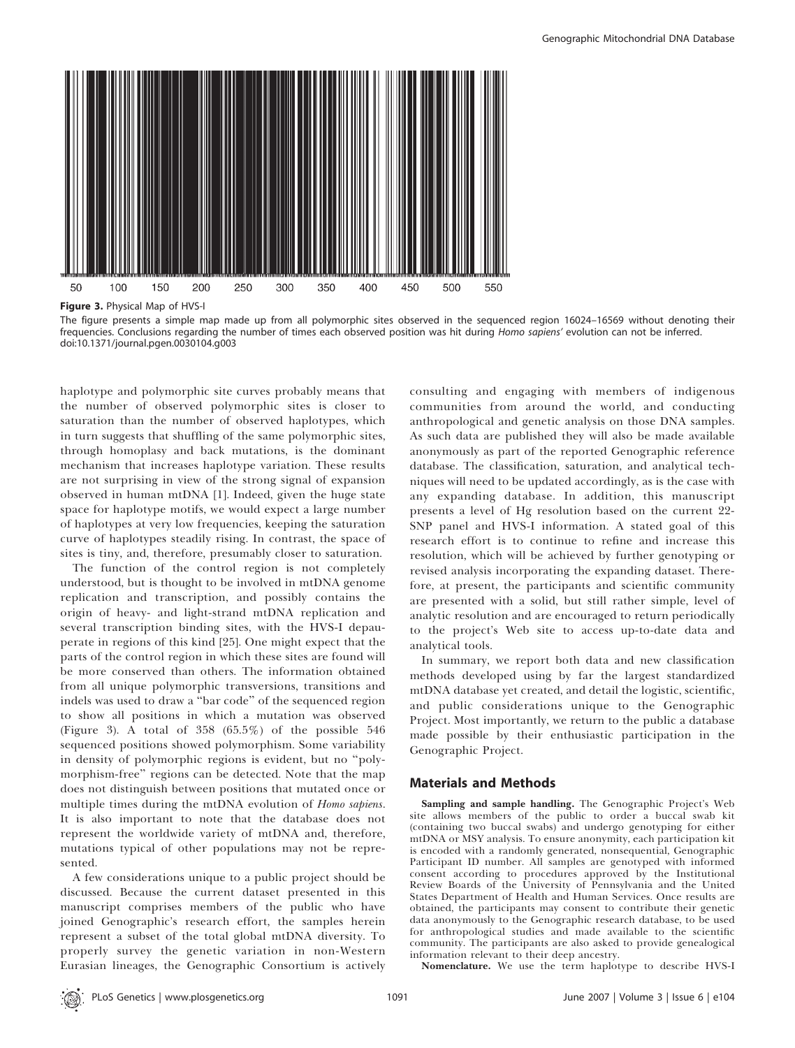

Figure 3. Physical Map of HVS-I



haplotype and polymorphic site curves probably means that the number of observed polymorphic sites is closer to saturation than the number of observed haplotypes, which in turn suggests that shuffling of the same polymorphic sites, through homoplasy and back mutations, is the dominant mechanism that increases haplotype variation. These results are not surprising in view of the strong signal of expansion observed in human mtDNA [1]. Indeed, given the huge state space for haplotype motifs, we would expect a large number of haplotypes at very low frequencies, keeping the saturation curve of haplotypes steadily rising. In contrast, the space of sites is tiny, and, therefore, presumably closer to saturation.

The function of the control region is not completely understood, but is thought to be involved in mtDNA genome replication and transcription, and possibly contains the origin of heavy- and light-strand mtDNA replication and several transcription binding sites, with the HVS-I depauperate in regions of this kind [25]. One might expect that the parts of the control region in which these sites are found will be more conserved than others. The information obtained from all unique polymorphic transversions, transitions and indels was used to draw a ''bar code'' of the sequenced region to show all positions in which a mutation was observed (Figure 3). A total of 358 (65.5%) of the possible 546 sequenced positions showed polymorphism. Some variability in density of polymorphic regions is evident, but no ''polymorphism-free'' regions can be detected. Note that the map does not distinguish between positions that mutated once or multiple times during the mtDNA evolution of Homo sapiens. It is also important to note that the database does not represent the worldwide variety of mtDNA and, therefore, mutations typical of other populations may not be represented.

A few considerations unique to a public project should be discussed. Because the current dataset presented in this manuscript comprises members of the public who have joined Genographic's research effort, the samples herein represent a subset of the total global mtDNA diversity. To properly survey the genetic variation in non-Western Eurasian lineages, the Genographic Consortium is actively consulting and engaging with members of indigenous communities from around the world, and conducting anthropological and genetic analysis on those DNA samples. As such data are published they will also be made available anonymously as part of the reported Genographic reference database. The classification, saturation, and analytical techniques will need to be updated accordingly, as is the case with any expanding database. In addition, this manuscript presents a level of Hg resolution based on the current 22- SNP panel and HVS-I information. A stated goal of this research effort is to continue to refine and increase this resolution, which will be achieved by further genotyping or revised analysis incorporating the expanding dataset. Therefore, at present, the participants and scientific community are presented with a solid, but still rather simple, level of analytic resolution and are encouraged to return periodically to the project's Web site to access up-to-date data and analytical tools.

In summary, we report both data and new classification methods developed using by far the largest standardized mtDNA database yet created, and detail the logistic, scientific, and public considerations unique to the Genographic Project. Most importantly, we return to the public a database made possible by their enthusiastic participation in the Genographic Project.

## Materials and Methods

Sampling and sample handling. The Genographic Project's Web site allows members of the public to order a buccal swab kit (containing two buccal swabs) and undergo genotyping for either mtDNA or MSY analysis. To ensure anonymity, each participation kit is encoded with a randomly generated, nonsequential, Genographic Participant ID number. All samples are genotyped with informed consent according to procedures approved by the Institutional Review Boards of the University of Pennsylvania and the United States Department of Health and Human Services. Once results are obtained, the participants may consent to contribute their genetic data anonymously to the Genographic research database, to be used for anthropological studies and made available to the scientific community. The participants are also asked to provide genealogical information relevant to their deep ancestry.

Nomenclature. We use the term haplotype to describe HVS-I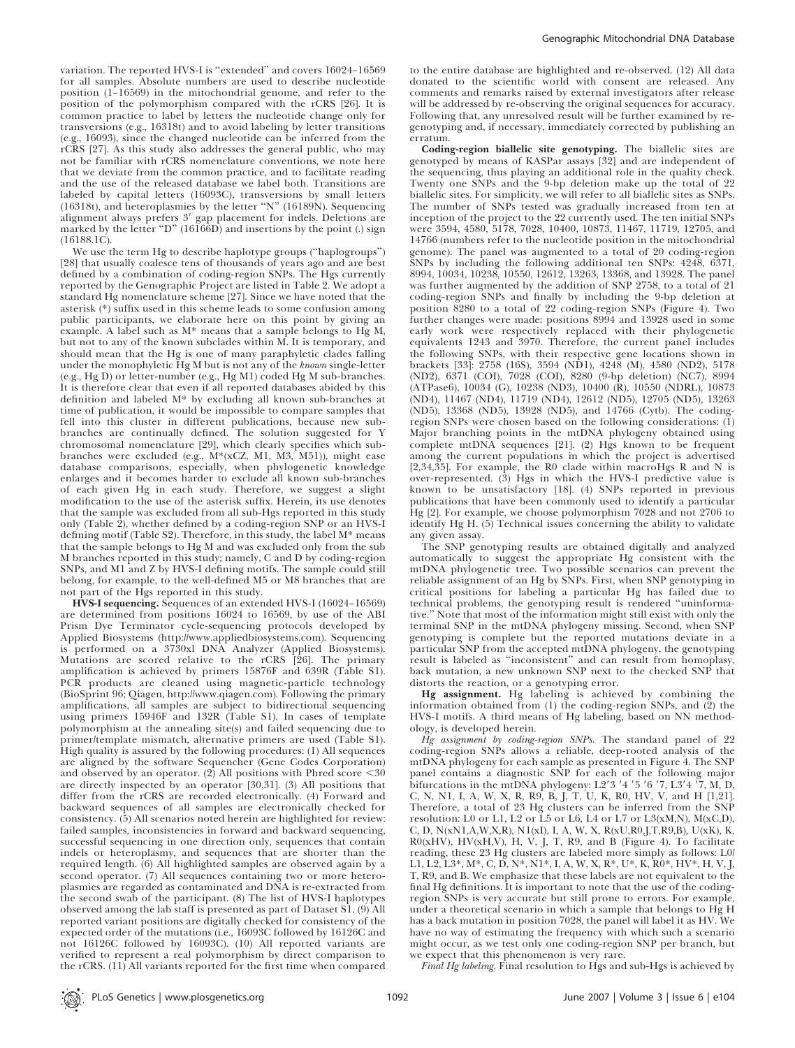variation. The reported HVS-I is ''extended'' and covers 16024–16569 for all samples. Absolute numbers are used to describe nucleotide position (1–16569) in the mitochondrial genome, and refer to the position of the polymorphism compared with the rCRS [26]. It is common practice to label by letters the nucleotide change only for transversions (e.g., 16318t) and to avoid labeling by letter transitions (e.g., 16093), since the changed nucleotide can be inferred from the rCRS [27]. As this study also addresses the general public, who may not be familiar with rCRS nomenclature conventions, we note here that we deviate from the common practice, and to facilitate reading and the use of the released database we label both. Transitions are labeled by capital letters (16093C), transversions by small letters (16318t), and heteroplasmies by the letter ''N'' (16189N). Sequencing alignment always prefers 3' gap placement for indels. Deletions are marked by the letter "D" (16166D) and insertions by the point (.) sign  $(16188.1C)$ .

We use the term Hg to describe haplotype groups (''haplogroups'') [28] that usually coalesce tens of thousands of years ago and are best defined by a combination of coding-region SNPs. The Hgs currently reported by the Genographic Project are listed in Table 2. We adopt a standard Hg nomenclature scheme [27]. Since we have noted that the asterisk (\*) suffix used in this scheme leads to some confusion among public participants, we elaborate here on this point by giving an example. A label such as M\* means that a sample belongs to Hg M, but not to any of the known subclades within M. It is temporary, and should mean that the Hg is one of many paraphyletic clades falling under the monophyletic Hg M but is not any of the known single-letter (e.g., Hg D) or letter-number (e.g., Hg M1) coded Hg M sub-branches. It is therefore clear that even if all reported databases abided by this definition and labeled M\* by excluding all known sub-branches at time of publication, it would be impossible to compare samples that fell into this cluster in different publications, because new subbranches are continually defined. The solution suggested for Y chromosomal nomenclature [29], which clearly specifies which subbranches were excluded (e.g., M\*(xCZ, M1, M3, M51)), might ease database comparisons, especially, when phylogenetic knowledge enlarges and it becomes harder to exclude all known sub-branches of each given Hg in each study. Therefore, we suggest a slight modification to the use of the asterisk suffix. Herein, its use denotes that the sample was excluded from all sub-Hgs reported in this study only (Table 2), whether defined by a coding-region SNP or an HVS-I defining motif (Table S2). Therefore, in this study, the label  $M^*$  means that the sample belongs to Hg M and was excluded only from the sub M branches reported in this study; namely, C and D by coding-region SNPs, and M1 and Z by HVS-I defining motifs. The sample could still belong, for example, to the well-defined M5 or M8 branches that are not part of the Hgs reported in this study.

HVS-I sequencing. Sequences of an extended HVS-I (16024–16569) are determined from positions 16024 to 16569, by use of the ABI Prism Dye Terminator cycle-sequencing protocols developed by Applied Biosystems (http://www.appliedbiosystems.com). Sequencing performed on a 3730xl DNA Analyzer (Applied Biosystems). Mutations are scored relative to the rCRS  $[26]$ . The primary amplification is achieved by primers 15876F and 639R (Table S1). PCR products are cleaned using magnetic-particle technology (BioSprint 96; Qiagen, http://www.qiagen.com). Following the primary amplifications, all samples are subject to bidirectional sequencing using primers 15946F and 132R (Table S1). In cases of template polymorphism at the annealing site(s) and failed sequencing due to primer/template mismatch, alternative primers are used (Table S1). High quality is assured by the following procedures: (1) All sequences are aligned by the software Sequencher (Gene Codes Corporation) and observed by an operator. (2) All positions with Phred score  $\leq 30$ are directly inspected by an operator [30,31]. (3) All positions that differ from the rCRS are recorded electronically. (4) Forward and backward sequences of all samples are electronically checked for consistency. (5) All scenarios noted herein are highlighted for review: failed samples, inconsistencies in forward and backward sequencing, successful sequencing in one direction only, sequences that contain indels or heteroplasmy, and sequences that are shorter than the required length. (6) All highlighted samples are observed again by a second operator. (7) All sequences containing two or more heteroplasmies are regarded as contaminated and DNA is re-extracted from the second swab of the participant. (8) The list of HVS-I haplotypes observed among the lab staff is presented as part of Dataset S1. (9) All reported variant positions are digitally checked for consistency of the expected order of the mutations (i.e., 16093C followed by 16126C and not 16126C followed by 16093C). (10) All reported variants are verified to represent a real polymorphism by direct comparison to the rCRS. (11) All variants reported for the first time when compared

to the entire database are highlighted and re-observed. (12) All data donated to the scientific world with consent are released. Any comments and remarks raised by external investigators after release will be addressed by re-observing the original sequences for accuracy. Following that, any unresolved result will be further examined by regenotyping and, if necessary, immediately corrected by publishing an erratum.

Coding-region biallelic site genotyping. The biallelic sites are genotyped by means of KASPar assays [32] and are independent of the sequencing, thus playing an additional role in the quality check. Twenty one SNPs and the 9-bp deletion make up the total of 22 biallelic sites. For simplicity, we will refer to all biallelic sites as SNPs. The number of SNPs tested was gradually increased from ten at inception of the project to the 22 currently used. The ten initial SNPs were 3594, 4580, 5178, 7028, 10400, 10873, 11467, 11719, 12705, and 14766 (numbers refer to the nucleotide position in the mitochondrial genome). The panel was augmented to a total of 20 coding-region SNPs by including the following additional ten SNPs: 4248, 6371, 8994, 10034, 10238, 10550, 12612, 13263, 13368, and 13928. The panel was further augmented by the addition of SNP 2758, to a total of 21 coding-region SNPs and finally by including the 9-bp deletion at position 8280 to a total of 22 coding-region SNPs (Figure 4). Two further changes were made: positions 8994 and 13928 used in some early work were respectively replaced with their phylogenetic equivalents 1243 and 3970. Therefore, the current panel includes the following SNPs, with their respective gene locations shown in brackets [33]: 2758 (16S), 3594 (ND1), 4248 (M), 4580 (ND2), 5178 (ND2), 6371 (COI), 7028 (COI), 8280 (9-bp deletion) (NC7), 8994 (ATPase6), 10034 (G), 10238 (ND3), 10400 (R), 10550 (NDRL), 10873 (ND4), 11467 (ND4), 11719 (ND4), 12612 (ND5), 12705 (ND5), 13263 (ND5), 13368 (ND5), 13928 (ND5), and 14766 (Cytb). The codingregion SNPs were chosen based on the following considerations: (1) Major branching points in the mtDNA phylogeny obtained using complete mtDNA sequences [21]. (2) Hgs known to be frequent among the current populations in which the project is advertised [2,34,35]. For example, the R0 clade within macroHgs R and N is over-represented. (3) Hgs in which the HVS-I predictive value is known to be unsatisfactory [18]. (4) SNPs reported in previous publications that have been commonly used to identify a particular Hg [2]. For example, we choose polymorphism 7028 and not 2706 to identify Hg H. (5) Technical issues concerning the ability to validate any given assay.

The SNP genotyping results are obtained digitally and analyzed automatically to suggest the appropriate Hg consistent with the mtDNA phylogenetic tree. Two possible scenarios can prevent the reliable assignment of an Hg by SNPs. First, when SNP genotyping in critical positions for labeling a particular Hg has failed due to technical problems, the genotyping result is rendered ''uninformative.'' Note that most of the information might still exist with only the terminal SNP in the mtDNA phylogeny missing. Second, when SNP genotyping is complete but the reported mutations deviate in a particular SNP from the accepted mtDNA phylogeny, the genotyping result is labeled as ''inconsistent'' and can result from homoplasy, back mutation, a new unknown SNP next to the checked SNP that distorts the reaction, or a genotyping error.

Hg assignment. Hg labeling is achieved by combining the information obtained from (1) the coding-region SNPs, and (2) the HVS-I motifs. A third means of Hg labeling, based on NN methodology, is developed herein.

Hg assignment by coding-region SNPs. The standard panel of 22 coding-region SNPs allows a reliable, deep-rooted analysis of the mtDNA phylogeny for each sample as presented in Figure 4. The SNP panel contains a diagnostic SNP for each of the following major bifurcations in the mtDNA phylogeny: L2'3 '4 '5 '6 '7, L3'4 '7, M, D, C, N, N1, I, A, W, X, R, R9, B, J, T, U, K, R0, HV, V, and H [1,21]. Therefore, a total of 23 Hg clusters can be inferred from the SNP resolution: L0 or L1, L2 or L5 or L6, L4 or L7 or L3(xM,N), M(xC,D), C, D, N(xN1,A,W,X,R), N1(xI), I, A, W, X, R(xU,R0,J,T,R9,B), U(xK), K,  $R0(xHV)$ ,  $HV(xH,V)$ ,  $H$ ,  $V$ ,  $I$ ,  $T$ ,  $R9$ , and  $B$  (Figure 4). To facilitate reading, these 23 Hg clusters are labeled more simply as follows: L0/ L1, L2, L3\*, M\*, C, D, N\*, N1\*, I, A, W, X, R\*, U\*, K, R0\*, HV\*, H, V, J, T, R9, and B. We emphasize that these labels are not equivalent to the final Hg definitions. It is important to note that the use of the codingregion SNPs is very accurate but still prone to errors. For example, under a theoretical scenario in which a sample that belongs to Hg H has a back mutation in position 7028, the panel will label it as HV. We have no way of estimating the frequency with which such a scenario might occur, as we test only one coding-region SNP per branch, but we expect that this phenomenon is very rare.

Final Hg labeling. Final resolution to Hgs and sub-Hgs is achieved by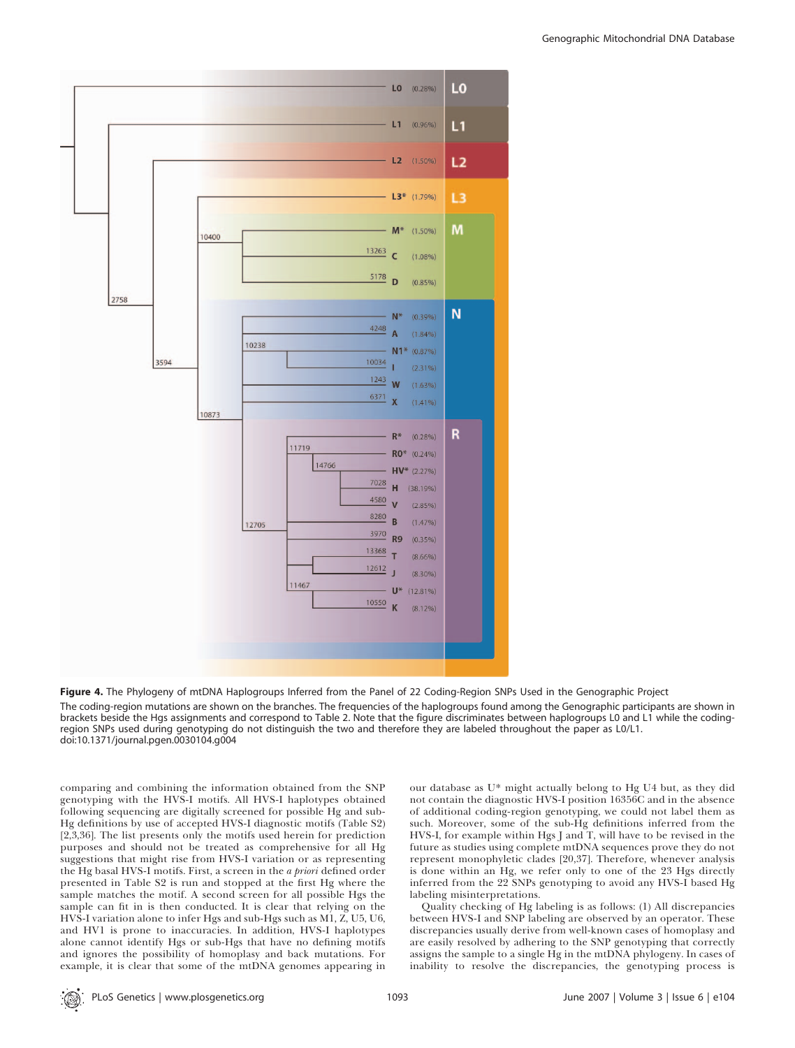

Figure 4. The Phylogeny of mtDNA Haplogroups Inferred from the Panel of 22 Coding-Region SNPs Used in the Genographic Project The coding-region mutations are shown on the branches. The frequencies of the haplogroups found among the Genographic participants are shown in brackets beside the Hgs assignments and correspond to Table 2. Note that the figure discriminates between haplogroups L0 and L1 while the codingregion SNPs used during genotyping do not distinguish the two and therefore they are labeled throughout the paper as L0/L1. doi:10.1371/journal.pgen.0030104.g004

comparing and combining the information obtained from the SNP genotyping with the HVS-I motifs. All HVS-I haplotypes obtained following sequencing are digitally screened for possible Hg and sub-Hg definitions by use of accepted HVS-I diagnostic motifs (Table S2) [2,3,36]. The list presents only the motifs used herein for prediction purposes and should not be treated as comprehensive for all Hg suggestions that might rise from HVS-I variation or as representing the Hg basal HVS-I motifs. First, a screen in the a priori defined order presented in Table S2 is run and stopped at the first Hg where the sample matches the motif. A second screen for all possible Hgs the sample can fit in is then conducted. It is clear that relying on the HVS-I variation alone to infer Hgs and sub-Hgs such as M1, Z, U5, U6, and HV1 is prone to inaccuracies. In addition, HVS-I haplotypes alone cannot identify Hgs or sub-Hgs that have no defining motifs and ignores the possibility of homoplasy and back mutations. For example, it is clear that some of the mtDNA genomes appearing in

our database as U\* might actually belong to Hg U4 but, as they did not contain the diagnostic HVS-I position 16356C and in the absence of additional coding-region genotyping, we could not label them as such. Moreover, some of the sub-Hg definitions inferred from the HVS-I, for example within Hgs J and T, will have to be revised in the future as studies using complete mtDNA sequences prove they do not represent monophyletic clades [20,37]. Therefore, whenever analysis is done within an Hg, we refer only to one of the 23 Hgs directly inferred from the 22 SNPs genotyping to avoid any HVS-I based Hg labeling misinterpretations.

Quality checking of Hg labeling is as follows: (1) All discrepancies between HVS-I and SNP labeling are observed by an operator. These discrepancies usually derive from well-known cases of homoplasy and are easily resolved by adhering to the SNP genotyping that correctly assigns the sample to a single Hg in the mtDNA phylogeny. In cases of inability to resolve the discrepancies, the genotyping process is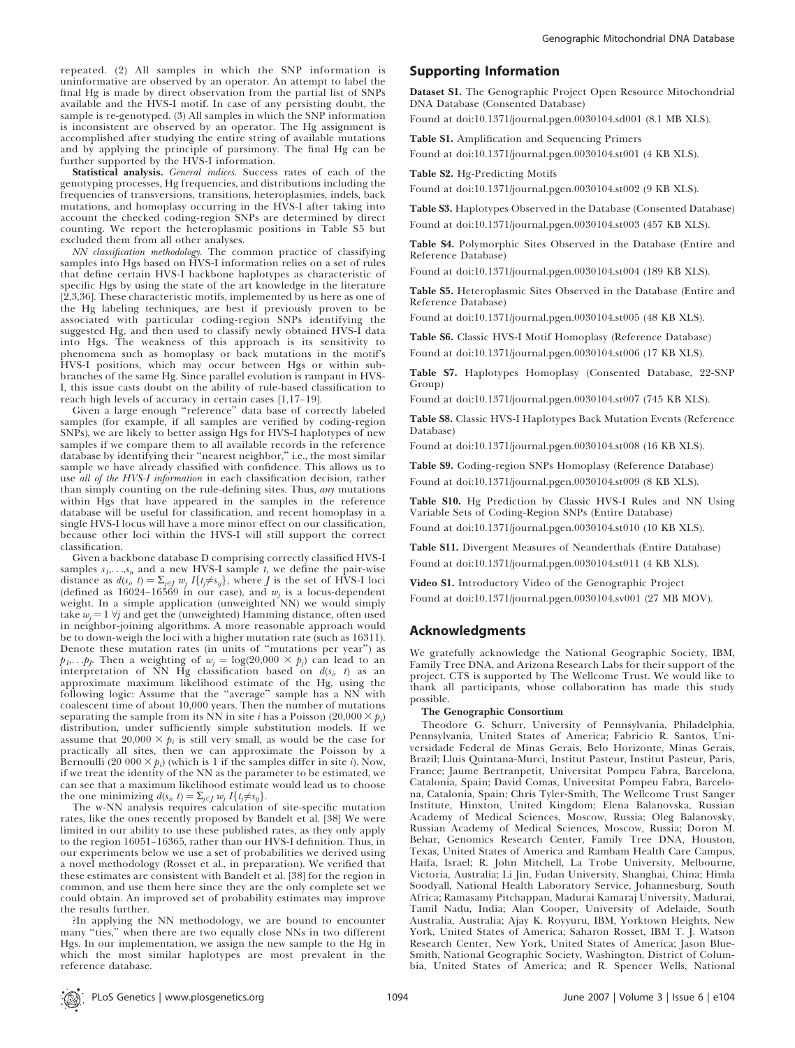repeated. (2) All samples in which the SNP information is uninformative are observed by an operator. An attempt to label the final Hg is made by direct observation from the partial list of SNPs available and the HVS-I motif. In case of any persisting doubt, the sample is re-genotyped. (3) All samples in which the SNP information is inconsistent are observed by an operator. The Hg assignment is accomplished after studying the entire string of available mutations and by applying the principle of parsimony. The final Hg can be further supported by the HVS-I information.

Statistical analysis. General indices. Success rates of each of the genotyping processes, Hg frequencies, and distributions including the frequencies of transversions, transitions, heteroplasmies, indels, back mutations, and homoplasy occurring in the HVS-I after taking into account the checked coding-region SNPs are determined by direct counting. We report the heteroplasmic positions in Table S5 but excluded them from all other analyses.

NN classification methodology. The common practice of classifying samples into Hgs based on HVS-I information relies on a set of rules that define certain HVS-I backbone haplotypes as characteristic of specific Hgs by using the state of the art knowledge in the literature  $[2,3,36]$ . These characteristic motifs, implemented by us here as one of the Hg labeling techniques, are best if previously proven to be associated with particular coding-region SNPs identifying the suggested Hg, and then used to classify newly obtained HVS-I data into Hgs. The weakness of this approach is its sensitivity to phenomena such as homoplasy or back mutations in the motif's HVS-I positions, which may occur between Hgs or within subbranches of the same Hg. Since parallel evolution is rampant in HVS-I, this issue casts doubt on the ability of rule-based classification to reach high levels of accuracy in certain cases [1,17–19].

Given a large enough ''reference'' data base of correctly labeled samples (for example, if all samples are verified by coding-region SNPs), we are likely to better assign Hgs for HVS-I haplotypes of new samples if we compare them to all available records in the reference database by identifying their ''nearest neighbor,'' i.e., the most similar sample we have already classified with confidence. This allows us to use all of the HVS-I information in each classification decision, rather than simply counting on the rule-defining sites. Thus, any mutations within Hgs that have appeared in the samples in the reference database will be useful for classification, and recent homoplasy in a single HVS-I locus will have a more minor effect on our classification, because other loci within the HVS-I will still support the correct classification.

Given a backbone database D comprising correctly classified HVS-I samples  $s_1$ ,..., $s_n$  and a new HVS-I sample t, we define the pair-wise distance as  $d(s_i, t) = \sum_{j \in J} w_j I\{t_j \neq s_{ij}\}\$ , where  $J$  is the set of HVS-I loci (defined as 16024–16569 in our case), and  $w_j$  is a locus-dependent weight. In a simple application (unweighted NN) we would simply take  $w_j = 1 \forall j$  and get the (unweighted) Hamming distance, often used in neighbor-joining algorithms. A more reasonable approach would be to down-weigh the loci with a higher mutation rate (such as 16311). Denote these mutation rates (in units of ''mutations per year'') as  $p_1, \ldots, p_j$ . Then a weighting of  $w_j = \log(20,000 \times p_j)$  can lead to an interpretation of NN Hg classification based on  $d(s_i, t)$  as an approximate maximum likelihood estimate of the Hg, using the following logic: Assume that the ''average'' sample has a NN with coalescent time of about 10,000 years. Then the number of mutations separating the sample from its NN in site *i* has a Poisson (20,000  $\times p_i$ ) distribution, under sufficiently simple substitution models. If we assume that  $20,000 \times p_i$  is still very small, as would be the case for practically all sites, then we can approximate the Poisson by a Bernoulli (20 000  $\times$   $p_i$ ) (which is 1 if the samples differ in site *i*). Now, if we treat the identity of the NN as the parameter to be estimated, we can see that a maximum likelihood estimate would lead us to choose the one minimizing  $d(s_i, t) = \sum_{j \in J} w_j I\{t_j \neq s_{ij}\}.$ 

The w-NN analysis requires calculation of site-specific mutation rates, like the ones recently proposed by Bandelt et al. [38] We were limited in our ability to use these published rates, as they only apply to the region 16051–16365, rather than our HVS-I definition. Thus, in our experiments below we use a set of probabilities we derived using a novel methodology (Rosset et al., in preparation). We verified that these estimates are consistent with Bandelt et al. [38] for the region in common, and use them here since they are the only complete set we could obtain. An improved set of probability estimates may improve the results further.

?In applying the NN methodology, we are bound to encounter many "ties," when there are two equally close NNs in two different Hgs. In our implementation, we assign the new sample to the Hg in which the most similar haplotypes are most prevalent in the reference database.

## Supporting Information

Dataset S1. The Genographic Project Open Resource Mitochondrial DNA Database (Consented Database)

Found at doi:10.1371/journal.pgen.0030104.sd001 (8.1 MB XLS).

Table S1. Amplification and Sequencing Primers Found at doi:10.1371/journal.pgen.0030104.st001 (4 KB XLS).

Table S2. Hg-Predicting Motifs

Found at doi:10.1371/journal.pgen.0030104.st002 (9 KB XLS).

Table S3. Haplotypes Observed in the Database (Consented Database) Found at doi:10.1371/journal.pgen.0030104.st003 (457 KB XLS).

Table S4. Polymorphic Sites Observed in the Database (Entire and Reference Database)

Found at doi:10.1371/journal.pgen.0030104.st004 (189 KB XLS).

Table S5. Heteroplasmic Sites Observed in the Database (Entire and Reference Database)

Found at doi:10.1371/journal.pgen.0030104.st005 (48 KB XLS).

Table S6. Classic HVS-I Motif Homoplasy (Reference Database) Found at doi:10.1371/journal.pgen.0030104.st006 (17 KB XLS).

Table S7. Haplotypes Homoplasy (Consented Database, 22-SNP Group)

Found at doi:10.1371/journal.pgen.0030104.st007 (745 KB XLS).

Table S8. Classic HVS-I Haplotypes Back Mutation Events (Reference Database)

Found at doi:10.1371/journal.pgen.0030104.st008 (16 KB XLS).

Table S9. Coding-region SNPs Homoplasy (Reference Database) Found at doi:10.1371/journal.pgen.0030104.st009 (8 KB XLS).

Table S10. Hg Prediction by Classic HVS-I Rules and NN Using Variable Sets of Coding-Region SNPs (Entire Database)

Found at doi:10.1371/journal.pgen.0030104.st010 (10 KB XLS).

Table S11. Divergent Measures of Neanderthals (Entire Database) Found at doi:10.1371/journal.pgen.0030104.st011 (4 KB XLS).

Video S1. Introductory Video of the Genographic Project Found at doi:10.1371/journal.pgen.0030104.sv001 (27 MB MOV).

## Acknowledgments

We gratefully acknowledge the National Geographic Society, IBM, Family Tree DNA, and Arizona Research Labs for their support of the project. CTS is supported by The Wellcome Trust. We would like to thank all participants, whose collaboration has made this study possible.

#### The Genographic Consortium

Theodore G. Schurr, University of Pennsylvania, Philadelphia, Pennsylvania, United States of America; Fabricio R. Santos, Universidade Federal de Minas Gerais, Belo Horizonte, Minas Gerais, Brazil; Lluis Quintana-Murci, Institut Pasteur, Institut Pasteur, Paris, France; Jaume Bertranpetit, Universitat Pompeu Fabra, Barcelona, Catalonia, Spain; David Comas, Universitat Pompeu Fabra, Barcelona, Catalonia, Spain; Chris Tyler-Smith, The Wellcome Trust Sanger Institute, Hinxton, United Kingdom; Elena Balanovska, Russian Academy of Medical Sciences, Moscow, Russia; Oleg Balanovsky, Russian Academy of Medical Sciences, Moscow, Russia; Doron M. Behar, Genomics Research Center, Family Tree DNA, Houston, Texas, United States of America and Rambam Health Care Campus, Haifa, Israel; R. John Mitchell, La Trobe University, Melbourne, Victoria, Australia; Li Jin, Fudan University, Shanghai, China; Himla Soodyall, National Health Laboratory Service, Johannesburg, South Africa; Ramasamy Pitchappan, Madurai Kamaraj University, Madurai, Tamil Nadu, India; Alan Cooper, University of Adelaide, South Australia, Australia; Ajay K. Royyuru, IBM, Yorktown Heights, New York, United States of America; Saharon Rosset, IBM T. J. Watson Research Center, New York, United States of America; Jason Blue-Smith, National Geographic Society, Washington, District of Columbia, United States of America; and R. Spencer Wells, National

PLoS Genetics | www.plosgenetics.org 1094 1094 June 2007 | Volume 3 | Issue 6 | e104